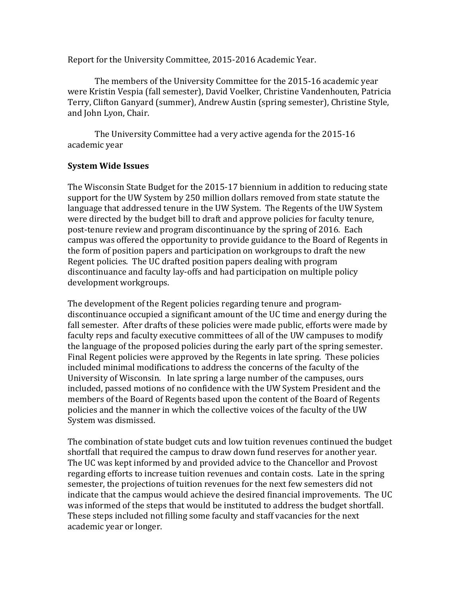Report for the University Committee, 2015-2016 Academic Year.

The members of the University Committee for the 2015-16 academic year were Kristin Vespia (fall semester), David Voelker, Christine Vandenhouten, Patricia Terry, Clifton Ganyard (summer), Andrew Austin (spring semester), Christine Style, and John Lyon, Chair.

The University Committee had a very active agenda for the 2015-16 academic year

## **System Wide Issues**

The Wisconsin State Budget for the 2015-17 biennium in addition to reducing state support for the UW System by 250 million dollars removed from state statute the language that addressed tenure in the UW System. The Regents of the UW System were directed by the budget bill to draft and approve policies for faculty tenure, post-tenure review and program discontinuance by the spring of 2016. Each campus was offered the opportunity to provide guidance to the Board of Regents in the form of position papers and participation on workgroups to draft the new Regent policies. The UC drafted position papers dealing with program discontinuance and faculty lay-offs and had participation on multiple policy development workgroups.

The development of the Regent policies regarding tenure and programdiscontinuance occupied a significant amount of the UC time and energy during the fall semester. After drafts of these policies were made public, efforts were made by faculty reps and faculty executive committees of all of the UW campuses to modify the language of the proposed policies during the early part of the spring semester. Final Regent policies were approved by the Regents in late spring. These policies included minimal modifications to address the concerns of the faculty of the University of Wisconsin. In late spring a large number of the campuses, ours included, passed motions of no confidence with the UW System President and the members of the Board of Regents based upon the content of the Board of Regents policies and the manner in which the collective voices of the faculty of the UW System was dismissed.

The combination of state budget cuts and low tuition revenues continued the budget shortfall that required the campus to draw down fund reserves for another year. The UC was kept informed by and provided advice to the Chancellor and Provost regarding efforts to increase tuition revenues and contain costs. Late in the spring semester, the projections of tuition revenues for the next few semesters did not indicate that the campus would achieve the desired financial improvements. The UC was informed of the steps that would be instituted to address the budget shortfall. These steps included not filling some faculty and staff vacancies for the next academic year or longer.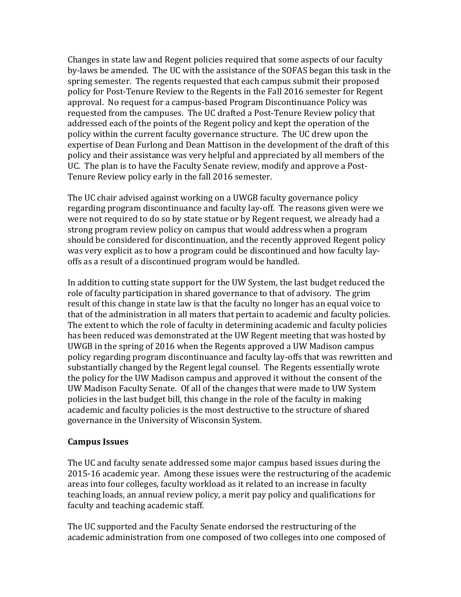Changes in state law and Regent policies required that some aspects of our faculty by-laws be amended. The UC with the assistance of the SOFAS began this task in the spring semester. The regents requested that each campus submit their proposed policy for Post-Tenure Review to the Regents in the Fall 2016 semester for Regent approval. No request for a campus-based Program Discontinuance Policy was requested from the campuses. The UC drafted a Post-Tenure Review policy that addressed each of the points of the Regent policy and kept the operation of the policy within the current faculty governance structure. The UC drew upon the expertise of Dean Furlong and Dean Mattison in the development of the draft of this policy and their assistance was very helpful and appreciated by all members of the UC. The plan is to have the Faculty Senate review, modify and approve a Post-Tenure Review policy early in the fall 2016 semester.

The UC chair advised against working on a UWGB faculty governance policy regarding program discontinuance and faculty lay-off. The reasons given were we were not required to do so by state statue or by Regent request, we already had a strong program review policy on campus that would address when a program should be considered for discontinuation, and the recently approved Regent policy was very explicit as to how a program could be discontinued and how faculty layoffs as a result of a discontinued program would be handled.

In addition to cutting state support for the UW System, the last budget reduced the role of faculty participation in shared governance to that of advisory. The grim result of this change in state law is that the faculty no longer has an equal voice to that of the administration in all maters that pertain to academic and faculty policies. The extent to which the role of faculty in determining academic and faculty policies has been reduced was demonstrated at the UW Regent meeting that was hosted by UWGB in the spring of 2016 when the Regents approved a UW Madison campus policy regarding program discontinuance and faculty lay-offs that was rewritten and substantially changed by the Regent legal counsel. The Regents essentially wrote the policy for the UW Madison campus and approved it without the consent of the UW Madison Faculty Senate. Of all of the changes that were made to UW System policies in the last budget bill, this change in the role of the faculty in making academic and faculty policies is the most destructive to the structure of shared governance in the University of Wisconsin System.

## **Campus Issues**

The UC and faculty senate addressed some major campus based issues during the 2015-16 academic year. Among these issues were the restructuring of the academic areas into four colleges, faculty workload as it related to an increase in faculty teaching loads, an annual review policy, a merit pay policy and qualifications for faculty and teaching academic staff.

The UC supported and the Faculty Senate endorsed the restructuring of the academic administration from one composed of two colleges into one composed of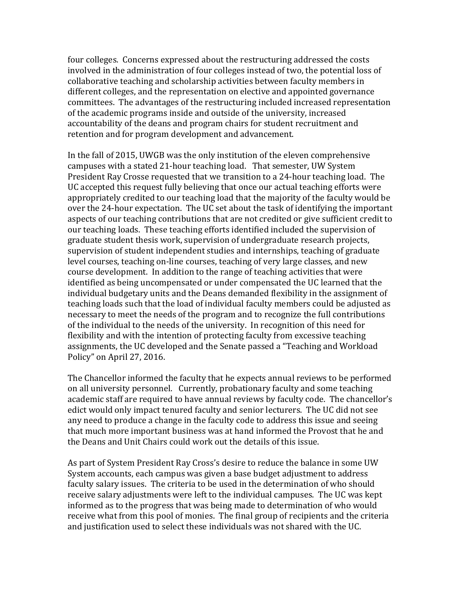four colleges. Concerns expressed about the restructuring addressed the costs involved in the administration of four colleges instead of two, the potential loss of collaborative teaching and scholarship activities between faculty members in different colleges, and the representation on elective and appointed governance committees. The advantages of the restructuring included increased representation of the academic programs inside and outside of the university, increased accountability of the deans and program chairs for student recruitment and retention and for program development and advancement.

In the fall of 2015, UWGB was the only institution of the eleven comprehensive campuses with a stated 21-hour teaching load. That semester, UW System President Ray Crosse requested that we transition to a 24-hour teaching load. The UC accepted this request fully believing that once our actual teaching efforts were appropriately credited to our teaching load that the majority of the faculty would be over the 24-hour expectation. The UC set about the task of identifying the important aspects of our teaching contributions that are not credited or give sufficient credit to our teaching loads. These teaching efforts identified included the supervision of graduate student thesis work, supervision of undergraduate research projects, supervision of student independent studies and internships, teaching of graduate level courses, teaching on-line courses, teaching of very large classes, and new course development. In addition to the range of teaching activities that were identified as being uncompensated or under compensated the UC learned that the individual budgetary units and the Deans demanded flexibility in the assignment of teaching loads such that the load of individual faculty members could be adjusted as necessary to meet the needs of the program and to recognize the full contributions of the individual to the needs of the university. In recognition of this need for flexibility and with the intention of protecting faculty from excessive teaching assignments, the UC developed and the Senate passed a "Teaching and Workload Policy" on April 27, 2016.

The Chancellor informed the faculty that he expects annual reviews to be performed on all university personnel. Currently, probationary faculty and some teaching academic staff are required to have annual reviews by faculty code. The chancellor's edict would only impact tenured faculty and senior lecturers. The UC did not see any need to produce a change in the faculty code to address this issue and seeing that much more important business was at hand informed the Provost that he and the Deans and Unit Chairs could work out the details of this issue.

As part of System President Ray Cross's desire to reduce the balance in some UW System accounts, each campus was given a base budget adjustment to address faculty salary issues. The criteria to be used in the determination of who should receive salary adjustments were left to the individual campuses. The UC was kept informed as to the progress that was being made to determination of who would receive what from this pool of monies. The final group of recipients and the criteria and justification used to select these individuals was not shared with the UC.